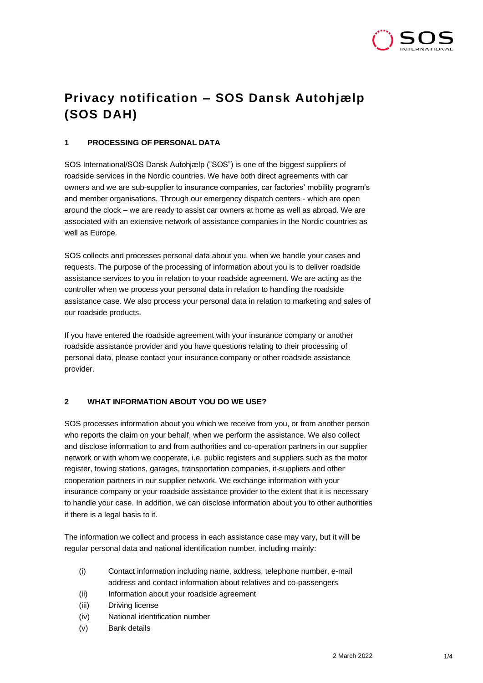

# **Privacy notification – SOS Dansk Autohjælp (SOS DAH)**

# **1 PROCESSING OF PERSONAL DATA**

SOS International/SOS Dansk Autohjælp ("SOS") is one of the biggest suppliers of roadside services in the Nordic countries. We have both direct agreements with car owners and we are sub-supplier to insurance companies, car factories' mobility program's and member organisations. Through our emergency dispatch centers - which are open around the clock – we are ready to assist car owners at home as well as abroad. We are associated with an extensive network of assistance companies in the Nordic countries as well as Europe.

SOS collects and processes personal data about you, when we handle your cases and requests. The purpose of the processing of information about you is to deliver roadside assistance services to you in relation to your roadside agreement. We are acting as the controller when we process your personal data in relation to handling the roadside assistance case. We also process your personal data in relation to marketing and sales of our roadside products.

If you have entered the roadside agreement with your insurance company or another roadside assistance provider and you have questions relating to their processing of personal data, please contact your insurance company or other roadside assistance provider.

# **2 WHAT INFORMATION ABOUT YOU DO WE USE?**

SOS processes information about you which we receive from you, or from another person who reports the claim on your behalf, when we perform the assistance. We also collect and disclose information to and from authorities and co-operation partners in our supplier network or with whom we cooperate, i.e. public registers and suppliers such as the motor register, towing stations, garages, transportation companies, it-suppliers and other cooperation partners in our supplier network. We exchange information with your insurance company or your roadside assistance provider to the extent that it is necessary to handle your case. In addition, we can disclose information about you to other authorities if there is a legal basis to it.

The information we collect and process in each assistance case may vary, but it will be regular personal data and national identification number, including mainly:

- (i) Contact information including name, address, telephone number, e-mail address and contact information about relatives and co-passengers
- (ii) Information about your roadside agreement
- (iii) Driving license
- (iv) National identification number
- (v) Bank details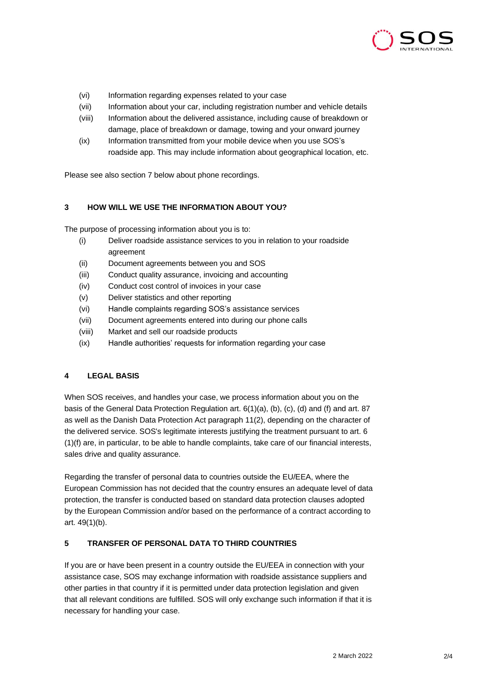

- (vi) Information regarding expenses related to your case
- (vii) Information about your car, including registration number and vehicle details
- (viii) Information about the delivered assistance, including cause of breakdown or damage, place of breakdown or damage, towing and your onward journey
- (ix) Information transmitted from your mobile device when you use SOS's roadside app. This may include information about geographical location, etc.

Please see also section 7 below about phone recordings.

## **3 HOW WILL WE USE THE INFORMATION ABOUT YOU?**

The purpose of processing information about you is to:

- (i) Deliver roadside assistance services to you in relation to your roadside agreement
- (ii) Document agreements between you and SOS
- (iii) Conduct quality assurance, invoicing and accounting
- (iv) Conduct cost control of invoices in your case
- (v) Deliver statistics and other reporting
- (vi) Handle complaints regarding SOS's assistance services
- (vii) Document agreements entered into during our phone calls
- (viii) Market and sell our roadside products
- (ix) Handle authorities' requests for information regarding your case

#### **4 LEGAL BASIS**

When SOS receives, and handles your case, we process information about you on the basis of the General Data Protection Regulation art. 6(1)(a), (b), (c), (d) and (f) and art. 87 as well as the Danish Data Protection Act paragraph 11(2), depending on the character of the delivered service. SOS's legitimate interests justifying the treatment pursuant to art. 6 (1)(f) are, in particular, to be able to handle complaints, take care of our financial interests, sales drive and quality assurance.

Regarding the transfer of personal data to countries outside the EU/EEA, where the European Commission has not decided that the country ensures an adequate level of data protection, the transfer is conducted based on standard data protection clauses adopted by the European Commission and/or based on the performance of a contract according to art. 49(1)(b).

#### **5 TRANSFER OF PERSONAL DATA TO THIRD COUNTRIES**

If you are or have been present in a country outside the EU/EEA in connection with your assistance case, SOS may exchange information with roadside assistance suppliers and other parties in that country if it is permitted under data protection legislation and given that all relevant conditions are fulfilled. SOS will only exchange such information if that it is necessary for handling your case.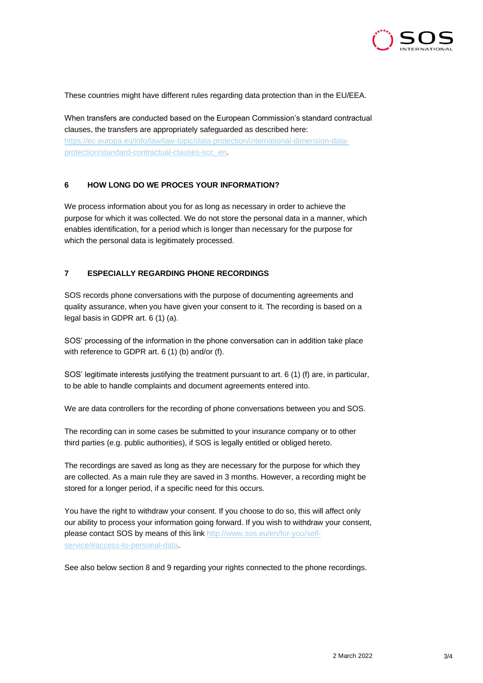

These countries might have different rules regarding data protection than in the EU/EEA.

When transfers are conducted based on the European Commission's standard contractual clauses, the transfers are appropriately safeguarded as described here: [https://ec.europa.eu/info/law/law-topic/data-protection/international-dimension-data](https://ec.europa.eu/info/law/law-topic/data-protection/international-dimension-data-protection/standard-contractual-clauses-scc_en)[protection/standard-contractual-clauses-scc\\_en.](https://ec.europa.eu/info/law/law-topic/data-protection/international-dimension-data-protection/standard-contractual-clauses-scc_en)

## **6 HOW LONG DO WE PROCES YOUR INFORMATION?**

We process information about you for as long as necessary in order to achieve the purpose for which it was collected. We do not store the personal data in a manner, which enables identification, for a period which is longer than necessary for the purpose for which the personal data is legitimately processed.

# **7 ESPECIALLY REGARDING PHONE RECORDINGS**

SOS records phone conversations with the purpose of documenting agreements and quality assurance, when you have given your consent to it. The recording is based on a legal basis in GDPR art. 6 (1) (a).

SOS' processing of the information in the phone conversation can in addition take place with reference to GDPR art. 6 (1) (b) and/or (f).

SOS' legitimate interests justifying the treatment pursuant to art. 6 (1) (f) are, in particular, to be able to handle complaints and document agreements entered into.

We are data controllers for the recording of phone conversations between you and SOS.

The recording can in some cases be submitted to your insurance company or to other third parties (e.g. public authorities), if SOS is legally entitled or obliged hereto.

The recordings are saved as long as they are necessary for the purpose for which they are collected. As a main rule they are saved in 3 months. However, a recording might be stored for a longer period, if a specific need for this occurs.

You have the right to withdraw your consent. If you choose to do so, this will affect only our ability to process your information going forward. If you wish to withdraw your consent, please contact SOS by means of this lin[k http://www.sos.eu/en/for-you/self](http://www.sos.eu/en/for-you/self-service/#access-to-personal-data)[service/#access-to-personal-data.](http://www.sos.eu/en/for-you/self-service/#access-to-personal-data)

See also below section 8 and 9 regarding your rights connected to the phone recordings.